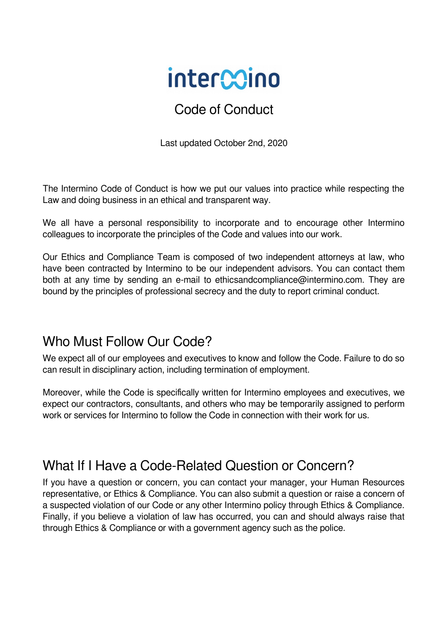# intercoino

#### Code of Conduct

Last updated October 2nd, 2020

The Intermino Code of Conduct is how we put our values into practice while respecting the Law and doing business in an ethical and transparent way.

We all have a personal responsibility to incorporate and to encourage other Intermino colleagues to incorporate the principles of the Code and values into our work.

Our Ethics and Compliance Team is composed of two independent attorneys at law, who have been contracted by Intermino to be our independent advisors. You can contact them both at any time by sending an e-mail to ethicsandcompliance@intermino.com. They are bound by the principles of professional secrecy and the duty to report criminal conduct.

## Who Must Follow Our Code?

We expect all of our employees and executives to know and follow the Code. Failure to do so can result in disciplinary action, including termination of employment.

Moreover, while the Code is specifically written for Intermino employees and executives, we expect our contractors, consultants, and others who may be temporarily assigned to perform work or services for Intermino to follow the Code in connection with their work for us.

# What If I Have a Code-Related Question or Concern?

If you have a question or concern, you can contact your manager, your Human Resources representative, or Ethics & Compliance. You can also submit a question or raise a concern of a suspected violation of our Code or any other Intermino policy through Ethics & Compliance. Finally, if you believe a violation of law has occurred, you can and should always raise that through Ethics & Compliance or with a government agency such as the police.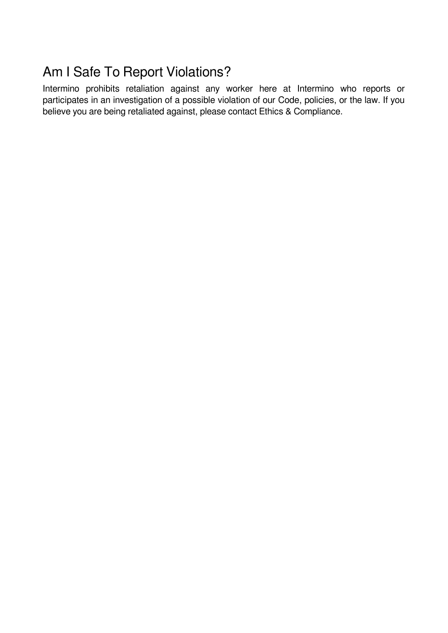# Am I Safe To Report Violations?

Intermino prohibits retaliation against any worker here at Intermino who reports or participates in an investigation of a possible violation of our Code, policies, or the law. If you believe you are being retaliated against, please contact Ethics & Compliance.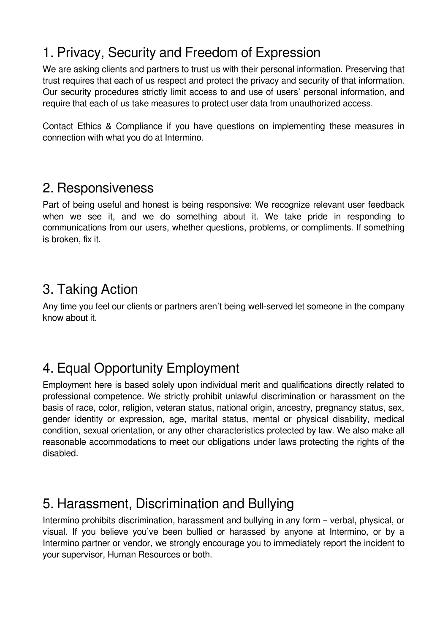# 1. Privacy, Security and Freedom of Expression

We are asking clients and partners to trust us with their personal information. Preserving that trust requires that each of us respect and protect the privacy and security of that information. Our security procedures strictly limit access to and use of users' personal information, and require that each of us take measures to protect user data from unauthorized access.

Contact Ethics & Compliance if you have questions on implementing these measures in connection with what you do at Intermino.

#### 2. Responsiveness

Part of being useful and honest is being responsive: We recognize relevant user feedback when we see it, and we do something about it. We take pride in responding to communications from our users, whether questions, problems, or compliments. If something is broken, fix it.

# 3. Taking Action

Any time you feel our clients or partners aren't being well-served let someone in the company know about it.

# 4. Equal Opportunity Employment

Employment here is based solely upon individual merit and qualifications directly related to professional competence. We strictly prohibit unlawful discrimination or harassment on the basis of race, color, religion, veteran status, national origin, ancestry, pregnancy status, sex, gender identity or expression, age, marital status, mental or physical disability, medical condition, sexual orientation, or any other characteristics protected by law. We also make all reasonable accommodations to meet our obligations under laws protecting the rights of the disabled.

# 5. Harassment, Discrimination and Bullying

Intermino prohibits discrimination, harassment and bullying in any form – verbal, physical, or visual. If you believe you've been bullied or harassed by anyone at Intermino, or by a Intermino partner or vendor, we strongly encourage you to immediately report the incident to your supervisor, Human Resources or both.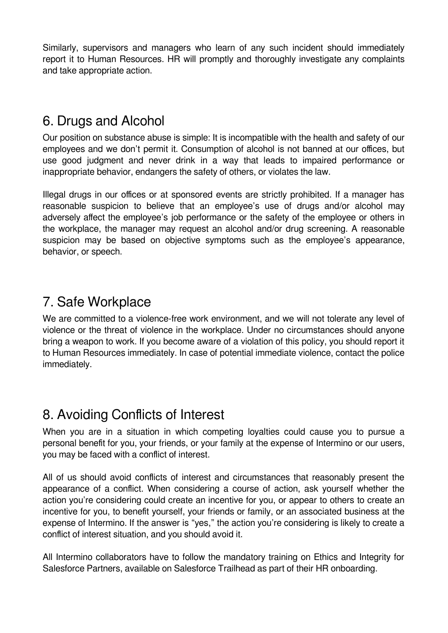Similarly, supervisors and managers who learn of any such incident should immediately report it to Human Resources. HR will promptly and thoroughly investigate any complaints and take appropriate action.

## 6. Drugs and Alcohol

Our position on substance abuse is simple: It is incompatible with the health and safety of our employees and we don't permit it. Consumption of alcohol is not banned at our offices, but use good judgment and never drink in a way that leads to impaired performance or inappropriate behavior, endangers the safety of others, or violates the law.

Illegal drugs in our offices or at sponsored events are strictly prohibited. If a manager has reasonable suspicion to believe that an employee's use of drugs and/or alcohol may adversely affect the employee's job performance or the safety of the employee or others in the workplace, the manager may request an alcohol and/or drug screening. A reasonable suspicion may be based on objective symptoms such as the employee's appearance, behavior, or speech.

## 7. Safe Workplace

We are committed to a violence-free work environment, and we will not tolerate any level of violence or the threat of violence in the workplace. Under no circumstances should anyone bring a weapon to work. If you become aware of a violation of this policy, you should report it to Human Resources immediately. In case of potential immediate violence, contact the police immediately.

#### 8. Avoiding Conflicts of Interest

When you are in a situation in which competing loyalties could cause you to pursue a personal benefit for you, your friends, or your family at the expense of Intermino or our users, you may be faced with a conflict of interest.

All of us should avoid conflicts of interest and circumstances that reasonably present the appearance of a conflict. When considering a course of action, ask yourself whether the action you're considering could create an incentive for you, or appear to others to create an incentive for you, to benefit yourself, your friends or family, or an associated business at the expense of Intermino. If the answer is "yes," the action you're considering is likely to create a conflict of interest situation, and you should avoid it.

All Intermino collaborators have to follow the mandatory training on Ethics and Integrity for Salesforce Partners, available on Salesforce Trailhead as part of their HR onboarding.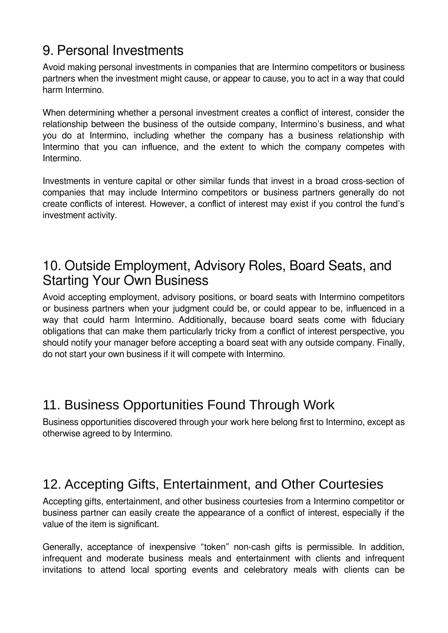# 9. Personal Investments

Avoid making personal investments in companies that are Intermino competitors or business partners when the investment might cause, or appear to cause, you to act in a way that could harm Intermino.

When determining whether a personal investment creates a conflict of interest, consider the relationship between the business of the outside company, Intermino's business, and what you do at Intermino, including whether the company has a business relationship with Intermino that you can influence, and the extent to which the company competes with Intermino.

Investments in venture capital or other similar funds that invest in a broad cross-section of companies that may include Intermino competitors or business partners generally do not create conflicts of interest. However, a conflict of interest may exist if you control the fund's investment activity.

#### 10. Outside Employment, Advisory Roles, Board Seats, and Starting Your Own Business

Avoid accepting employment, advisory positions, or board seats with Intermino competitors or business partners when your judgment could be, or could appear to be, influenced in a way that could harm Intermino. Additionally, because board seats come with fiduciary obligations that can make them particularly tricky from a conflict of interest perspective, you should notify your manager before accepting a board seat with any outside company. Finally, do not start your own business if it will compete with Intermino.

## 11. Business Opportunities Found Through Work

Business opportunities discovered through your work here belong first to Intermino, except as otherwise agreed to by Intermino.

#### 12. Accepting Gifts, Entertainment, and Other Courtesies

Accepting gifts, entertainment, and other business courtesies from a Intermino competitor or business partner can easily create the appearance of a conflict of interest, especially if the value of the item is significant.

Generally, acceptance of inexpensive "token" non-cash gifts is permissible. In addition, infrequent and moderate business meals and entertainment with clients and infrequent invitations to attend local sporting events and celebratory meals with clients can be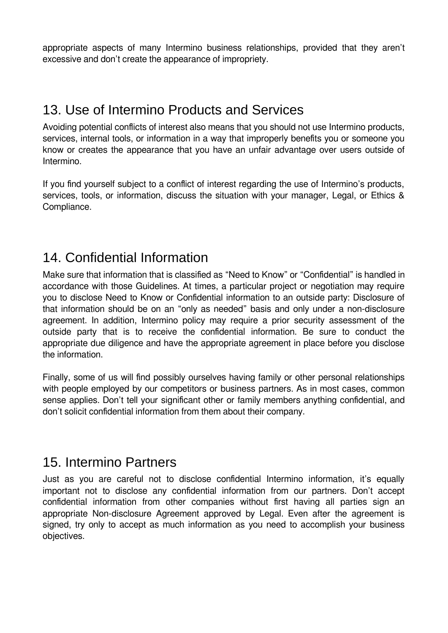appropriate aspects of many Intermino business relationships, provided that they aren't excessive and don't create the appearance of impropriety.

## 13. Use of Intermino Products and Services

Avoiding potential conflicts of interest also means that you should not use Intermino products, services, internal tools, or information in a way that improperly benefits you or someone you know or creates the appearance that you have an unfair advantage over users outside of Intermino.

If you find yourself subject to a conflict of interest regarding the use of Intermino's products, services, tools, or information, discuss the situation with your manager, Legal, or Ethics & Compliance.

#### 14. Confidential Information

Make sure that information that is classified as "Need to Know" or "Confidential" is handled in accordance with those Guidelines. At times, a particular project or negotiation may require you to disclose Need to Know or Confidential information to an outside party: Disclosure of that information should be on an "only as needed" basis and only under a non-disclosure agreement. In addition, Intermino policy may require a prior security assessment of the outside party that is to receive the confidential information. Be sure to conduct the appropriate due diligence and have the appropriate agreement in place before you disclose the information.

Finally, some of us will find possibly ourselves having family or other personal relationships with people employed by our competitors or business partners. As in most cases, common sense applies. Don't tell your significant other or family members anything confidential, and don't solicit confidential information from them about their company.

#### 15. Intermino Partners

Just as you are careful not to disclose confidential Intermino information, it's equally important not to disclose any confidential information from our partners. Don't accept confidential information from other companies without first having all parties sign an appropriate Non-disclosure Agreement approved by Legal. Even after the agreement is signed, try only to accept as much information as you need to accomplish your business objectives.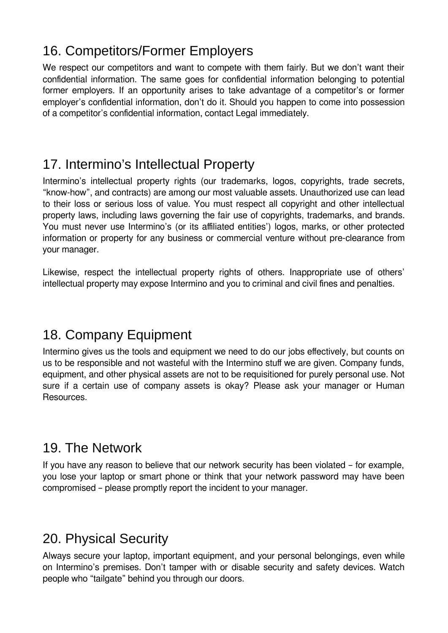## 16. Competitors/Former Employers

We respect our competitors and want to compete with them fairly. But we don't want their confidential information. The same goes for confidential information belonging to potential former employers. If an opportunity arises to take advantage of a competitor's or former employer's confidential information, don't do it. Should you happen to come into possession of a competitor's confidential information, contact Legal immediately.

## 17. Intermino's Intellectual Property

Intermino's intellectual property rights (our trademarks, logos, copyrights, trade secrets, "know-how", and contracts) are among our most valuable assets. Unauthorized use can lead to their loss or serious loss of value. You must respect all copyright and other intellectual property laws, including laws governing the fair use of copyrights, trademarks, and brands. You must never use Intermino's (or its affiliated entities') logos, marks, or other protected information or property for any business or commercial venture without pre-clearance from your manager.

Likewise, respect the intellectual property rights of others. Inappropriate use of others' intellectual property may expose Intermino and you to criminal and civil fines and penalties.

#### 18. Company Equipment

Intermino gives us the tools and equipment we need to do our jobs effectively, but counts on us to be responsible and not wasteful with the Intermino stuff we are given. Company funds, equipment, and other physical assets are not to be requisitioned for purely personal use. Not sure if a certain use of company assets is okay? Please ask your manager or Human Resources.

#### 19. The Network

If you have any reason to believe that our network security has been violated – for example, you lose your laptop or smart phone or think that your network password may have been compromised – please promptly report the incident to your manager.

#### 20. Physical Security

Always secure your laptop, important equipment, and your personal belongings, even while on Intermino's premises. Don't tamper with or disable security and safety devices. Watch people who "tailgate" behind you through our doors.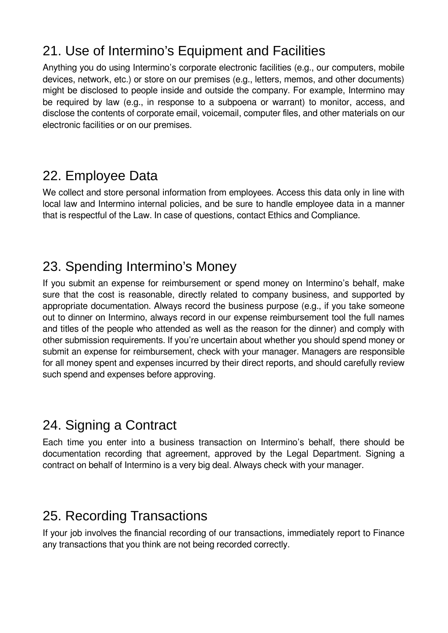# 21. Use of Intermino's Equipment and Facilities

Anything you do using Intermino's corporate electronic facilities (e.g., our computers, mobile devices, network, etc.) or store on our premises (e.g., letters, memos, and other documents) might be disclosed to people inside and outside the company. For example, Intermino may be required by law (e.g., in response to a subpoena or warrant) to monitor, access, and disclose the contents of corporate email, voicemail, computer files, and other materials on our electronic facilities or on our premises.

## 22. Employee Data

We collect and store personal information from employees. Access this data only in line with local law and Intermino internal policies, and be sure to handle employee data in a manner that is respectful of the Law. In case of questions, contact Ethics and Compliance.

# 23. Spending Intermino's Money

If you submit an expense for reimbursement or spend money on Intermino's behalf, make sure that the cost is reasonable, directly related to company business, and supported by appropriate documentation. Always record the business purpose (e.g., if you take someone out to dinner on Intermino, always record in our expense reimbursement tool the full names and titles of the people who attended as well as the reason for the dinner) and comply with other submission requirements. If you're uncertain about whether you should spend money or submit an expense for reimbursement, check with your manager. Managers are responsible for all money spent and expenses incurred by their direct reports, and should carefully review such spend and expenses before approving.

# 24. Signing a Contract

Each time you enter into a business transaction on Intermino's behalf, there should be documentation recording that agreement, approved by the Legal Department. Signing a contract on behalf of Intermino is a very big deal. Always check with your manager.

# 25. Recording Transactions

If your job involves the financial recording of our transactions, immediately report to Finance any transactions that you think are not being recorded correctly.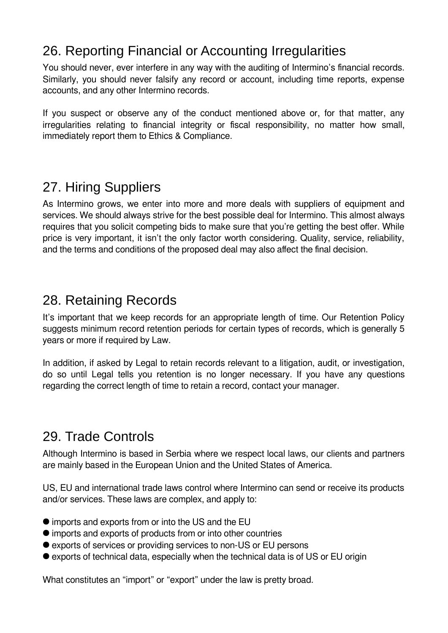## 26. Reporting Financial or Accounting Irregularities

You should never, ever interfere in any way with the auditing of Intermino's financial records. Similarly, you should never falsify any record or account, including time reports, expense accounts, and any other Intermino records.

If you suspect or observe any of the conduct mentioned above or, for that matter, any irregularities relating to financial integrity or fiscal responsibility, no matter how small, immediately report them to Ethics & Compliance.

## 27. Hiring Suppliers

As Intermino grows, we enter into more and more deals with suppliers of equipment and services. We should always strive for the best possible deal for Intermino. This almost always requires that you solicit competing bids to make sure that you're getting the best offer. While price is very important, it isn't the only factor worth considering. Quality, service, reliability, and the terms and conditions of the proposed deal may also affect the final decision.

## 28. Retaining Records

It's important that we keep records for an appropriate length of time. Our Retention Policy suggests minimum record retention periods for certain types of records, which is generally 5 years or more if required by Law.

In addition, if asked by Legal to retain records relevant to a litigation, audit, or investigation, do so until Legal tells you retention is no longer necessary. If you have any questions regarding the correct length of time to retain a record, contact your manager.

#### 29. Trade Controls

Although Intermino is based in Serbia where we respect local laws, our clients and partners are mainly based in the European Union and the United States of America.

US, EU and international trade laws control where Intermino can send or receive its products and/or services. These laws are complex, and apply to:

- imports and exports from or into the US and the EU
- imports and exports of products from or into other countries
- exports of services or providing services to non-US or EU persons
- exports of technical data, especially when the technical data is of US or EU origin

What constitutes an "import" or "export" under the law is pretty broad.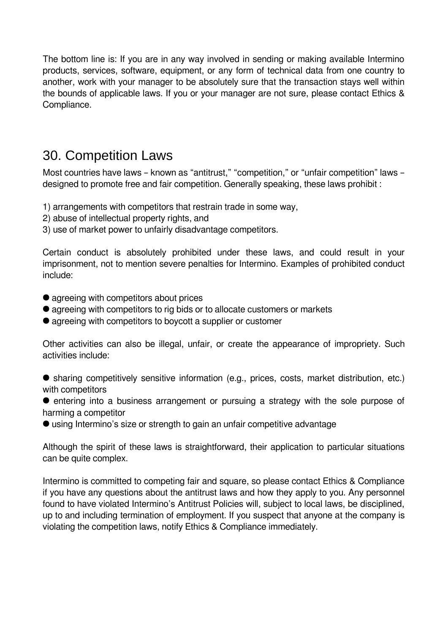The bottom line is: If you are in any way involved in sending or making available Intermino products, services, software, equipment, or any form of technical data from one country to another, work with your manager to be absolutely sure that the transaction stays well within the bounds of applicable laws. If you or your manager are not sure, please contact Ethics & Compliance.

#### 30. Competition Laws

Most countries have laws - known as "antitrust," "competition," or "unfair competition" laws designed to promote free and fair competition. Generally speaking, these laws prohibit :

- 1) arrangements with competitors that restrain trade in some way,
- 2) abuse of intellectual property rights, and
- 3) use of market power to unfairly disadvantage competitors.

Certain conduct is absolutely prohibited under these laws, and could result in your imprisonment, not to mention severe penalties for Intermino. Examples of prohibited conduct include:

- agreeing with competitors about prices
- agreeing with competitors to rig bids or to allocate customers or markets
- agreeing with competitors to boycott a supplier or customer

Other activities can also be illegal, unfair, or create the appearance of impropriety. Such activities include:

 sharing competitively sensitive information (e.g., prices, costs, market distribution, etc.) with competitors

**•** entering into a business arrangement or pursuing a strategy with the sole purpose of harming a competitor

using Intermino's size or strength to gain an unfair competitive advantage

Although the spirit of these laws is straightforward, their application to particular situations can be quite complex.

Intermino is committed to competing fair and square, so please contact Ethics & Compliance if you have any questions about the antitrust laws and how they apply to you. Any personnel found to have violated Intermino's Antitrust Policies will, subject to local laws, be disciplined, up to and including termination of employment. If you suspect that anyone at the company is violating the competition laws, notify Ethics & Compliance immediately.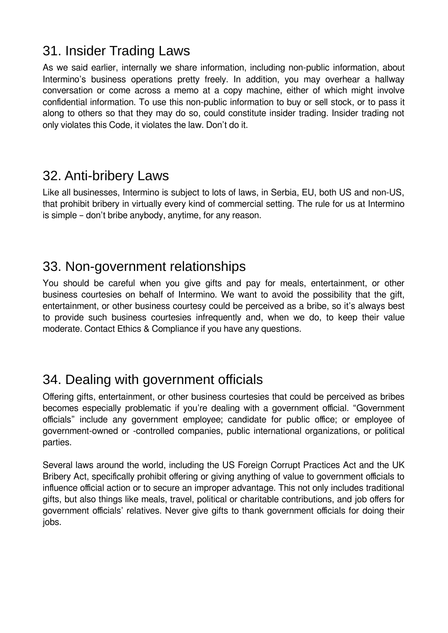#### 31. Insider Trading Laws

As we said earlier, internally we share information, including non-public information, about Intermino's business operations pretty freely. In addition, you may overhear a hallway conversation or come across a memo at a copy machine, either of which might involve confidential information. To use this non-public information to buy or sell stock, or to pass it along to others so that they may do so, could constitute insider trading. Insider trading not only violates this Code, it violates the law. Don't do it.

#### 32. Anti-bribery Laws

Like all businesses, Intermino is subject to lots of laws, in Serbia, EU, both US and non-US, that prohibit bribery in virtually every kind of commercial setting. The rule for us at Intermino is simple – don't bribe anybody, anytime, for any reason.

## 33. Non-government relationships

You should be careful when you give gifts and pay for meals, entertainment, or other business courtesies on behalf of Intermino. We want to avoid the possibility that the gift, entertainment, or other business courtesy could be perceived as a bribe, so it's always best to provide such business courtesies infrequently and, when we do, to keep their value moderate. Contact Ethics & Compliance if you have any questions.

## 34. Dealing with government officials

Offering gifts, entertainment, or other business courtesies that could be perceived as bribes becomes especially problematic if you're dealing with a government official. "Government officials" include any government employee; candidate for public office; or employee of government-owned or -controlled companies, public international organizations, or political parties.

Several laws around the world, including the US Foreign Corrupt Practices Act and the UK Bribery Act, specifically prohibit offering or giving anything of value to government officials to influence official action or to secure an improper advantage. This not only includes traditional gifts, but also things like meals, travel, political or charitable contributions, and job offers for government officials' relatives. Never give gifts to thank government officials for doing their jobs.